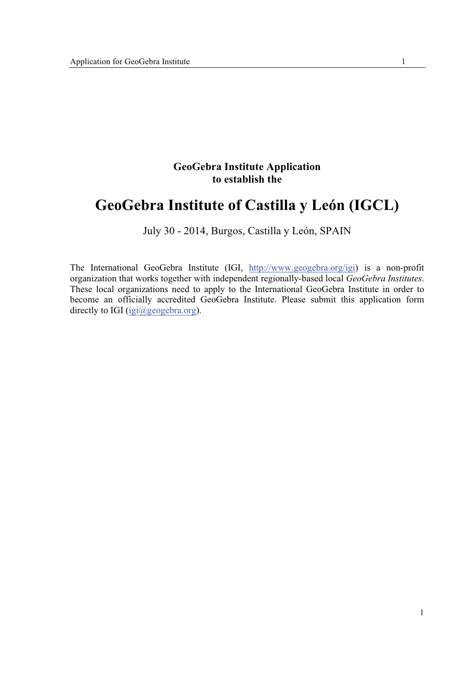## **GeoGebra Institute Application to establish the**

# **GeoGebra Institute of Castilla y León (IGCL)**

## July 30 - 2014, Burgos, Castilla y León, SPAIN

The International GeoGebra Institute (IGI, http://www.geogebra.org/igi) is a non-profit organization that works together with independent regionally-based local *GeoGebra Institutes*. These local organizations need to apply to the International GeoGebra Institute in order to become an officially accredited GeoGebra Institute. Please submit this application form directly to IGI (igi@geogebra.org).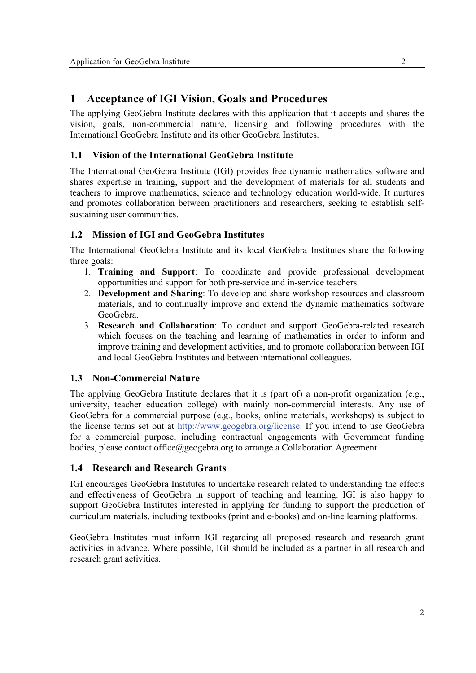## **1 Acceptance of IGI Vision, Goals and Procedures**

The applying GeoGebra Institute declares with this application that it accepts and shares the vision, goals, non-commercial nature, licensing and following procedures with the International GeoGebra Institute and its other GeoGebra Institutes.

## **1.1 Vision of the International GeoGebra Institute**

The International GeoGebra Institute (IGI) provides free dynamic mathematics software and shares expertise in training, support and the development of materials for all students and teachers to improve mathematics, science and technology education world-wide. It nurtures and promotes collaboration between practitioners and researchers, seeking to establish selfsustaining user communities.

## **1.2 Mission of IGI and GeoGebra Institutes**

The International GeoGebra Institute and its local GeoGebra Institutes share the following three goals:

- 1. **Training and Support**: To coordinate and provide professional development opportunities and support for both pre-service and in-service teachers.
- 2. **Development and Sharing**: To develop and share workshop resources and classroom materials, and to continually improve and extend the dynamic mathematics software GeoGebra.
- 3. **Research and Collaboration**: To conduct and support GeoGebra-related research which focuses on the teaching and learning of mathematics in order to inform and improve training and development activities, and to promote collaboration between IGI and local GeoGebra Institutes and between international colleagues.

## **1.3 Non-Commercial Nature**

The applying GeoGebra Institute declares that it is (part of) a non-profit organization (e.g., university, teacher education college) with mainly non-commercial interests. Any use of GeoGebra for a commercial purpose (e.g., books, online materials, workshops) is subject to the license terms set out at http://www.geogebra.org/license. If you intend to use GeoGebra for a commercial purpose, including contractual engagements with Government funding bodies, please contact office@geogebra.org to arrange a Collaboration Agreement.

## **1.4 Research and Research Grants**

IGI encourages GeoGebra Institutes to undertake research related to understanding the effects and effectiveness of GeoGebra in support of teaching and learning. IGI is also happy to support GeoGebra Institutes interested in applying for funding to support the production of curriculum materials, including textbooks (print and e-books) and on-line learning platforms.

GeoGebra Institutes must inform IGI regarding all proposed research and research grant activities in advance. Where possible, IGI should be included as a partner in all research and research grant activities.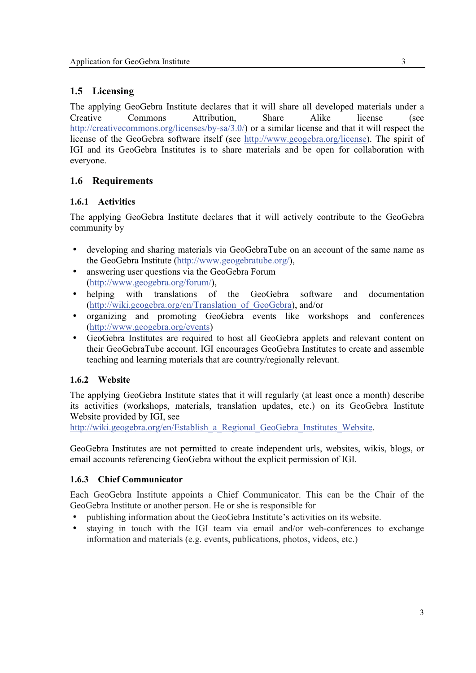## **1.5 Licensing**

The applying GeoGebra Institute declares that it will share all developed materials under a Creative Commons Attribution, Share Alike license (see http://creativecommons.org/licenses/by-sa/3.0/) or a similar license and that it will respect the license of the GeoGebra software itself (see http://www.geogebra.org/license). The spirit of IGI and its GeoGebra Institutes is to share materials and be open for collaboration with everyone.

## **1.6 Requirements**

## **1.6.1 Activities**

The applying GeoGebra Institute declares that it will actively contribute to the GeoGebra community by

- developing and sharing materials via GeoGebraTube on an account of the same name as the GeoGebra Institute (http://www.geogebratube.org/),
- answering user questions via the GeoGebra Forum (http://www.geogebra.org/forum/),
- helping with translations of the GeoGebra software and documentation (http://wiki.geogebra.org/en/Translation\_of\_GeoGebra), and/or
- organizing and promoting GeoGebra events like workshops and conferences (http://www.geogebra.org/events)
- GeoGebra Institutes are required to host all GeoGebra applets and relevant content on their GeoGebraTube account. IGI encourages GeoGebra Institutes to create and assemble teaching and learning materials that are country/regionally relevant.

## **1.6.2 Website**

The applying GeoGebra Institute states that it will regularly (at least once a month) describe its activities (workshops, materials, translation updates, etc.) on its GeoGebra Institute Website provided by IGI, see

http://wiki.geogebra.org/en/Establish\_a\_Regional\_GeoGebra\_Institutes\_Website.

GeoGebra Institutes are not permitted to create independent urls, websites, wikis, blogs, or email accounts referencing GeoGebra without the explicit permission of IGI.

#### **1.6.3 Chief Communicator**

Each GeoGebra Institute appoints a Chief Communicator. This can be the Chair of the GeoGebra Institute or another person. He or she is responsible for

- publishing information about the GeoGebra Institute's activities on its website.
- staying in touch with the IGI team via email and/or web-conferences to exchange information and materials (e.g. events, publications, photos, videos, etc.)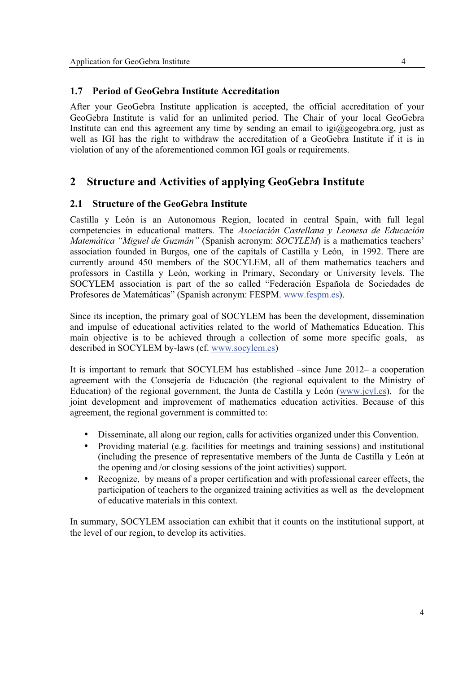## **1.7 Period of GeoGebra Institute Accreditation**

After your GeoGebra Institute application is accepted, the official accreditation of your GeoGebra Institute is valid for an unlimited period. The Chair of your local GeoGebra Institute can end this agreement any time by sending an email to  $iq \bar{q} \geq q$  geogebra.org, just as well as IGI has the right to withdraw the accreditation of a GeoGebra Institute if it is in violation of any of the aforementioned common IGI goals or requirements.

## **2 Structure and Activities of applying GeoGebra Institute**

## **2.1 Structure of the GeoGebra Institute**

Castilla y León is an Autonomous Region, located in central Spain, with full legal competencies in educational matters. The *Asociación Castellana y Leonesa de Educación Matemática "Miguel de Guzmán"* (Spanish acronym: *SOCYLEM*) is a mathematics teachers' association founded in Burgos, one of the capitals of Castilla y León, in 1992. There are currently around 450 members of the SOCYLEM, all of them mathematics teachers and professors in Castilla y León, working in Primary, Secondary or University levels. The SOCYLEM association is part of the so called "Federación Española de Sociedades de Profesores de Matemáticas" (Spanish acronym: FESPM. www.fespm.es).

Since its inception, the primary goal of SOCYLEM has been the development, dissemination and impulse of educational activities related to the world of Mathematics Education. This main objective is to be achieved through a collection of some more specific goals, as described in SOCYLEM by-laws (cf. www.socylem.es)

It is important to remark that SOCYLEM has established –since June 2012– a cooperation agreement with the Consejería de Educación (the regional equivalent to the Ministry of Education) of the regional government, the Junta de Castilla y León (www.jcyl.es), for the joint development and improvement of mathematics education activities. Because of this agreement, the regional government is committed to:

- Disseminate, all along our region, calls for activities organized under this Convention.
- Providing material (e.g. facilities for meetings and training sessions) and institutional (including the presence of representative members of the Junta de Castilla y León at the opening and /or closing sessions of the joint activities) support.
- Recognize, by means of a proper certification and with professional career effects, the participation of teachers to the organized training activities as well as the development of educative materials in this context.

In summary, SOCYLEM association can exhibit that it counts on the institutional support, at the level of our region, to develop its activities.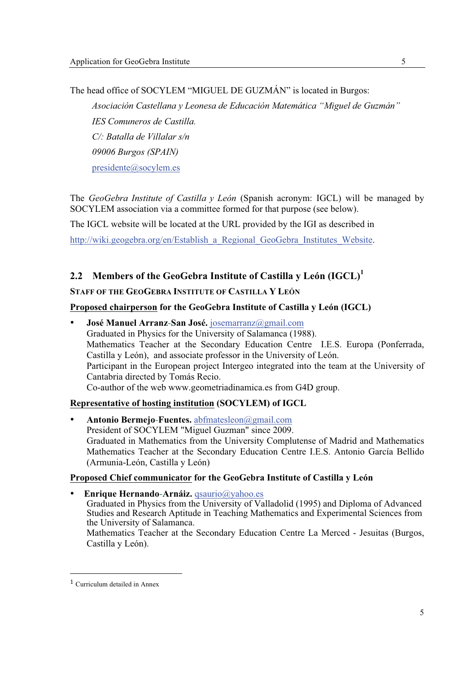The head office of SOCYLEM "MIGUEL DE GUZMÁN" is located in Burgos:

*Asociación Castellana y Leonesa de Educación Matemática "Miguel de Guzmán" IES Comuneros de Castilla. C/: Batalla de Villalar s/n 09006 Burgos (SPAIN)*  presidente@socylem.es

The *GeoGebra Institute of Castilla y León* (Spanish acronym: IGCL) will be managed by SOCYLEM association via a committee formed for that purpose (see below).

The IGCL website will be located at the URL provided by the IGI as described in

http://wiki.geogebra.org/en/Establish a Regional GeoGebra Institutes Website.

## **2.2 Members of the GeoGebra Institute of Castilla y León (IGCL)<sup>1</sup>**

#### **STAFF OF THE GEOGEBRA INSTITUTE OF CASTILLA Y LEÓN**

#### **Proposed chairperson for the GeoGebra Institute of Castilla y León (IGCL)**

• **José Manuel Arranz**-**San José.** josemarranz@gmail.com Graduated in Physics for the University of Salamanca (1988). Mathematics Teacher at the Secondary Education Centre I.E.S. Europa (Ponferrada, Castilla y León), and associate professor in the University of León. Participant in the European project Intergeo integrated into the team at the University of Cantabria directed by Tomás Recio. Co-author of the web www.geometriadinamica.es from G4D group.

#### **Representative of hosting institution (SOCYLEM) of IGCL**

• **Antonio Bermejo**-**Fuentes.** abfmatesleon@gmail.com President of SOCYLEM "Miguel Guzman" since 2009. Graduated in Mathematics from the University Complutense of Madrid and Mathematics Mathematics Teacher at the Secondary Education Centre I.E.S. Antonio García Bellido (Armunia-León, Castilla y León)

#### **Proposed Chief communicator for the GeoGebra Institute of Castilla y León**

• **Enrique Hernando**-**Arnáiz.** qsaurio@yahoo.es Graduated in Physics from the University of Valladolid (1995) and Diploma of Advanced Studies and Research Aptitude in Teaching Mathematics and Experimental Sciences from the University of Salamanca. Mathematics Teacher at the Secondary Education Centre La Merced - Jesuitas (Burgos,

Castilla y León).

----------

---------

<sup>-</sup>------------------------------------Curriculum detailed in Annex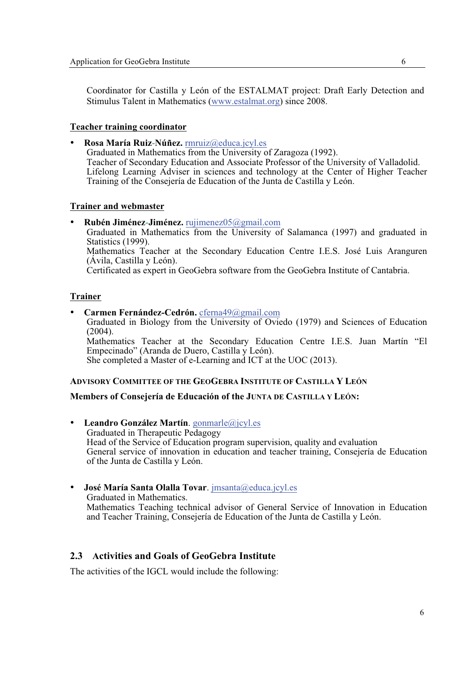Coordinator for Castilla y León of the ESTALMAT project: Draft Early Detection and Stimulus Talent in Mathematics (www.estalmat.org) since 2008.

#### **Teacher training coordinator**

• **Rosa María Ruiz**-**Núñez.** rmruiz@educa.jcyl.es

Graduated in Mathematics from the University of Zaragoza (1992). Teacher of Secondary Education and Associate Professor of the University of Valladolid. Lifelong Learning Adviser in sciences and technology at the Center of Higher Teacher Training of the Consejería de Education of the Junta de Castilla y León.

#### **Trainer and webmaster**

• **Rubén Jiménez**-**Jiménez.** rujimenez05@gmail.com Graduated in Mathematics from the University of Salamanca (1997) and graduated in Statistics (1999). Mathematics Teacher at the Secondary Education Centre I.E.S. José Luis Aranguren (Ávila, Castilla y León). Certificated as expert in GeoGebra software from the GeoGebra Institute of Cantabria.

#### **Trainer**

• **Carmen Fernández-Cedrón.** cferna49@gmail.com Graduated in Biology from the University of Oviedo (1979) and Sciences of Education (2004). Mathematics Teacher at the Secondary Education Centre I.E.S. Juan Martín "El Empecinado" (Aranda de Duero, Castilla y León). She completed a Master of e-Learning and ICT at the UOC (2013).

#### **ADVISORY COMMITTEE OF THE GEOGEBRA INSTITUTE OF CASTILLA Y LEÓN**

#### **Members of Consejería de Educación of the JUNTA DE CASTILLA Y LEÓN:**

- **Leandro González Martín**. gonmarle@jcyl.es Graduated in Therapeutic Pedagogy Head of the Service of Education program supervision, quality and evaluation General service of innovation in education and teacher training, Consejería de Education of the Junta de Castilla y León.
- **José María Santa Olalla Tovar**. jmsanta@educa.jcyl.es Graduated in Mathematics. Mathematics Teaching technical advisor of General Service of Innovation in Education and Teacher Training, Consejería de Education of the Junta de Castilla y León.

#### **2.3 Activities and Goals of GeoGebra Institute**

The activities of the IGCL would include the following: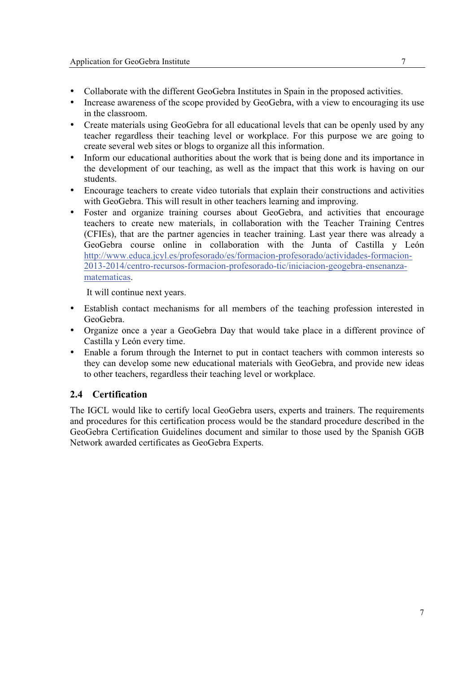- Collaborate with the different GeoGebra Institutes in Spain in the proposed activities.
- Increase awareness of the scope provided by GeoGebra, with a view to encouraging its use in the classroom.
- Create materials using GeoGebra for all educational levels that can be openly used by any teacher regardless their teaching level or workplace. For this purpose we are going to create several web sites or blogs to organize all this information.
- Inform our educational authorities about the work that is being done and its importance in the development of our teaching, as well as the impact that this work is having on our students.
- Encourage teachers to create video tutorials that explain their constructions and activities with GeoGebra. This will result in other teachers learning and improving.
- Foster and organize training courses about GeoGebra, and activities that encourage teachers to create new materials, in collaboration with the Teacher Training Centres (CFIEs), that are the partner agencies in teacher training. Last year there was already a GeoGebra course online in collaboration with the Junta of Castilla y León http://www.educa.jcyl.es/profesorado/es/formacion-profesorado/actividades-formacion-2013-2014/centro-recursos-formacion-profesorado-tic/iniciacion-geogebra-ensenanzamatematicas.

It will continue next years.

- Establish contact mechanisms for all members of the teaching profession interested in GeoGebra.
- Organize once a year a GeoGebra Day that would take place in a different province of Castilla y León every time.
- Enable a forum through the Internet to put in contact teachers with common interests so they can develop some new educational materials with GeoGebra, and provide new ideas to other teachers, regardless their teaching level or workplace.

## **2.4 Certification**

The IGCL would like to certify local GeoGebra users, experts and trainers. The requirements and procedures for this certification process would be the standard procedure described in the GeoGebra Certification Guidelines document and similar to those used by the Spanish GGB Network awarded certificates as GeoGebra Experts.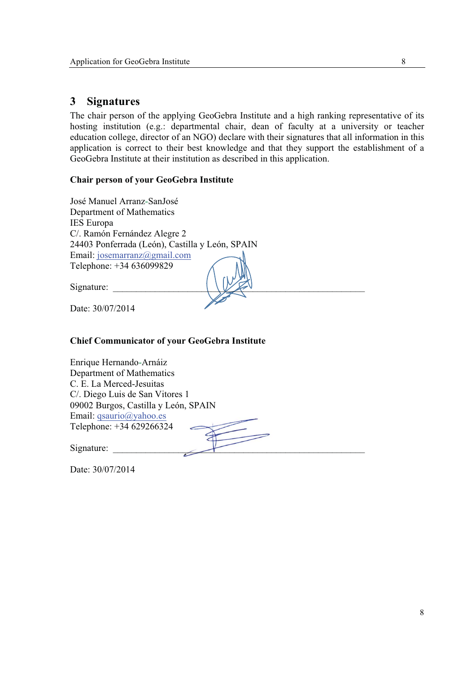## **3 Signatures**

The chair person of the applying GeoGebra Institute and a high ranking representative of its hosting institution (e.g.: departmental chair, dean of faculty at a university or teacher education college, director of an NGO) declare with their signatures that all information in this application is correct to their best knowledge and that they support the establishment of a GeoGebra Institute at their institution as described in this application.

### **Chair person of your GeoGebra Institute**

| José Manuel Arranz-SanJosé                      |
|-------------------------------------------------|
| Department of Mathematics                       |
| <b>IES</b> Europa                               |
| C/. Ramón Fernández Alegre 2                    |
| 24403 Ponferrada (León), Castilla y León, SPAIN |
| Email: josemarranz@gmail.com                    |
| Telephone: +34 636099829                        |
|                                                 |
| Signature:                                      |
|                                                 |
| Date: 30/07/2014                                |
|                                                 |

## **Chief Communicator of your GeoGebra Institute**

| Enrique Hernando-Arnáiz              |  |
|--------------------------------------|--|
| Department of Mathematics            |  |
| C. E. La Merced-Jesuitas             |  |
| C. Diego Luis de San Vitores 1       |  |
| 09002 Burgos, Castilla y León, SPAIN |  |
| Email: $qsaurio(\partial yahoo. es)$ |  |
| Telephone: +34 629266324             |  |
|                                      |  |
| Signature:                           |  |

Date: 30/07/2014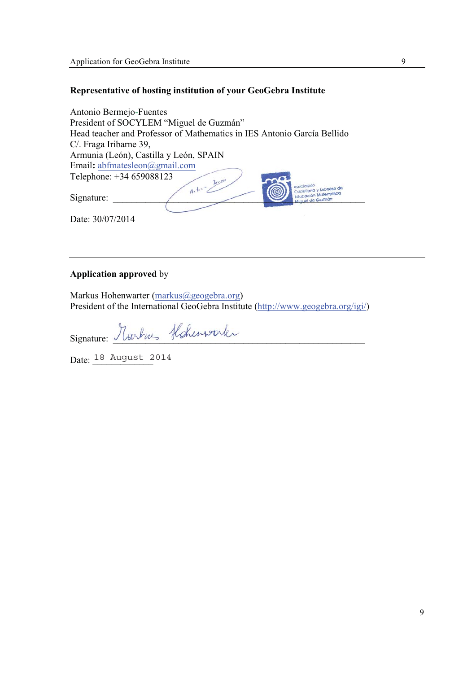## **Representative of hosting institution of your GeoGebra Institute**

| Antonio Bermejo-Fuentes                                                 |
|-------------------------------------------------------------------------|
| President of SOCYLEM "Miguel de Guzmán"                                 |
| Head teacher and Professor of Mathematics in IES Antonio García Bellido |
| C. Fraga Iribarne 39,                                                   |
| Armunia (León), Castilla y León, SPAIN                                  |
| Email: abfmatesleon@gmail.com                                           |
| Telephone: +34 659088123<br>Beens                                       |
| Asociación<br>$A^*$<br>Castellana y Leonesa de                          |
| <b>Educación Matemática</b><br>Signature:<br>Miquel de Guzmán           |
|                                                                         |
| Date: 30/07/2014                                                        |

## **Application approved** by

Markus Hohenwarter (markus@geogebra.org) President of the International GeoGebra Institute (http://www.geogebra.org/igi/)

Signature: Markus Hohenwork

Date:  $\frac{18 \text{ August} 2014}{}$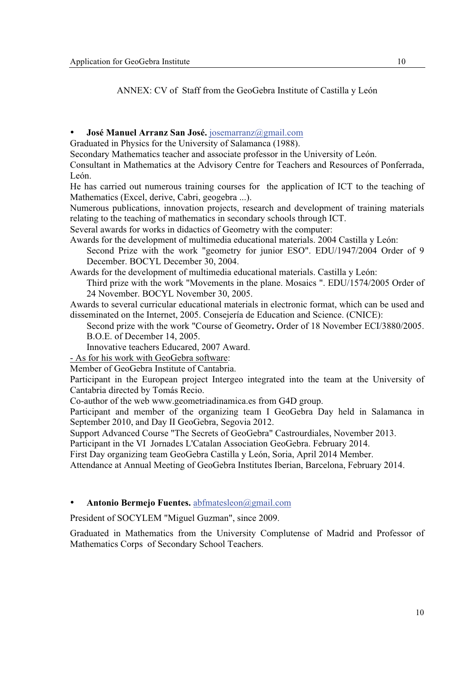ANNEX: CV of Staff from the GeoGebra Institute of Castilla y León

#### • **José Manuel Arranz San José.** josemarranz@gmail.com

Graduated in Physics for the University of Salamanca (1988).

Secondary Mathematics teacher and associate professor in the University of León.

Consultant in Mathematics at the Advisory Centre for Teachers and Resources of Ponferrada, León.

He has carried out numerous training courses for the application of ICT to the teaching of Mathematics (Excel, derive, Cabri, geogebra ...).

Numerous publications, innovation projects, research and development of training materials relating to the teaching of mathematics in secondary schools through ICT.

Several awards for works in didactics of Geometry with the computer:

Awards for the development of multimedia educational materials. 2004 Castilla y León:

Second Prize with the work "geometry for junior ESO". EDU/1947/2004 Order of 9 December. BOCYL December 30, 2004.

Awards for the development of multimedia educational materials. Castilla y León:

Third prize with the work "Movements in the plane. Mosaics ". EDU/1574/2005 Order of 24 November. BOCYL November 30, 2005.

Awards to several curricular educational materials in electronic format, which can be used and disseminated on the Internet, 2005. Consejería de Education and Science. (CNICE):

Second prize with the work "Course of Geometry**.** Order of 18 November ECI/3880/2005. B.O.E. of December 14, 2005.

Innovative teachers Educared, 2007 Award.

- As for his work with GeoGebra software:

Member of GeoGebra Institute of Cantabria.

Participant in the European project Intergeo integrated into the team at the University of Cantabria directed by Tomás Recio.

Co-author of the web www.geometriadinamica.es from G4D group.

Participant and member of the organizing team I GeoGebra Day held in Salamanca in September 2010, and Day II GeoGebra, Segovia 2012.

Support Advanced Course "The Secrets of GeoGebra" Castrourdiales, November 2013.

Participant in the VI Jornades L'Catalan Association GeoGebra. February 2014.

First Day organizing team GeoGebra Castilla y León, Soria, April 2014 Member.

Attendance at Annual Meeting of GeoGebra Institutes Iberian, Barcelona, February 2014.

#### • **Antonio Bermejo Fuentes.** abfmatesleon@gmail.com

President of SOCYLEM "Miguel Guzman", since 2009.

Graduated in Mathematics from the University Complutense of Madrid and Professor of Mathematics Corps of Secondary School Teachers.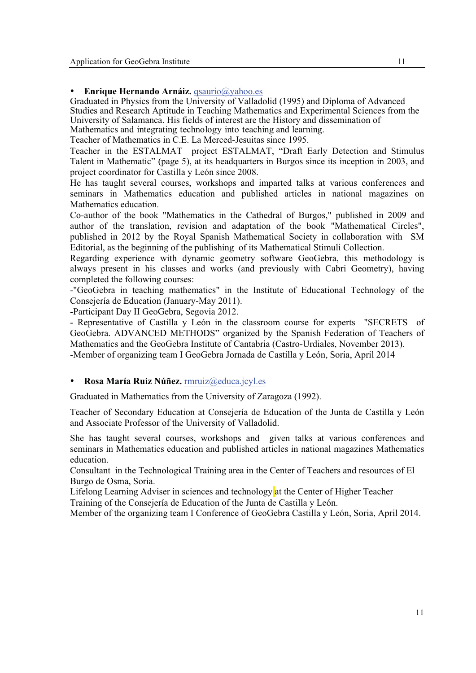#### • **Enrique Hernando Arnáiz.** qsaurio@yahoo.es

Graduated in Physics from the University of Valladolid (1995) and Diploma of Advanced Studies and Research Aptitude in Teaching Mathematics and Experimental Sciences from the University of Salamanca. His fields of interest are the History and dissemination of Mathematics and integrating technology into teaching and learning.

Teacher of Mathematics in C.E. La Merced-Jesuitas since 1995.

Teacher in the ESTALMAT project ESTALMAT, "Draft Early Detection and Stimulus Talent in Mathematic" (page 5), at its headquarters in Burgos since its inception in 2003, and project coordinator for Castilla y León since 2008.

He has taught several courses, workshops and imparted talks at various conferences and seminars in Mathematics education and published articles in national magazines on Mathematics education.

Co-author of the book "Mathematics in the Cathedral of Burgos," published in 2009 and author of the translation, revision and adaptation of the book "Mathematical Circles", published in 2012 by the Royal Spanish Mathematical Society in collaboration with SM Editorial, as the beginning of the publishing of its Mathematical Stimuli Collection.

Regarding experience with dynamic geometry software GeoGebra, this methodology is always present in his classes and works (and previously with Cabri Geometry), having completed the following courses:

-"GeoGebra in teaching mathematics" in the Institute of Educational Technology of the Consejería de Education (January-May 2011).

-Participant Day II GeoGebra, Segovia 2012.

- Representative of Castilla y León in the classroom course for experts "SECRETS of GeoGebra. ADVANCED METHODS" organized by the Spanish Federation of Teachers of Mathematics and the GeoGebra Institute of Cantabria (Castro-Urdiales, November 2013). -Member of organizing team I GeoGebra Jornada de Castilla y León, Soria, April 2014

#### • **Rosa María Ruiz Núñez.** rmruiz@educa.jcyl.es

Graduated in Mathematics from the University of Zaragoza (1992).

Teacher of Secondary Education at Consejería de Education of the Junta de Castilla y León and Associate Professor of the University of Valladolid.

She has taught several courses, workshops and given talks at various conferences and seminars in Mathematics education and published articles in national magazines Mathematics education.

Consultant in the Technological Training area in the Center of Teachers and resources of El Burgo de Osma, Soria.

Lifelong Learning Adviser in sciences and technology at the Center of Higher Teacher Training of the Consejería de Education of the Junta de Castilla y León.

Member of the organizing team I Conference of GeoGebra Castilla y León, Soria, April 2014.